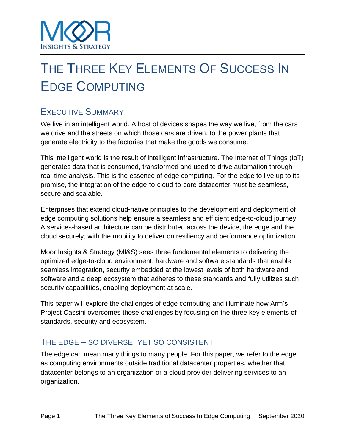

# THE THREE KEY ELEMENTS OF SUCCESS IN EDGE COMPUTING

# EXECUTIVE SUMMARY

We live in an intelligent world. A host of devices shapes the way we live, from the cars we drive and the streets on which those cars are driven, to the power plants that generate electricity to the factories that make the goods we consume.

This intelligent world is the result of intelligent infrastructure. The Internet of Things (IoT) generates data that is consumed, transformed and used to drive automation through real-time analysis. This is the essence of edge computing. For the edge to live up to its promise, the integration of the edge-to-cloud-to-core datacenter must be seamless, secure and scalable.

Enterprises that extend cloud-native principles to the development and deployment of edge computing solutions help ensure a seamless and efficient edge-to-cloud journey. A services-based architecture can be distributed across the device, the edge and the cloud securely, with the mobility to deliver on resiliency and performance optimization.

Moor Insights & Strategy (MI&S) sees three fundamental elements to delivering the optimized edge-to-cloud environment: hardware and software standards that enable seamless integration, security embedded at the lowest levels of both hardware and software and a deep ecosystem that adheres to these standards and fully utilizes such security capabilities, enabling deployment at scale.

This paper will explore the challenges of edge computing and illuminate how Arm's Project Cassini overcomes those challenges by focusing on the three key elements of standards, security and ecosystem.

## THE EDGE – SO DIVERSE, YET SO CONSISTENT

The edge can mean many things to many people. For this paper, we refer to the edge as computing environments outside traditional datacenter properties, whether that datacenter belongs to an organization or a cloud provider delivering services to an organization.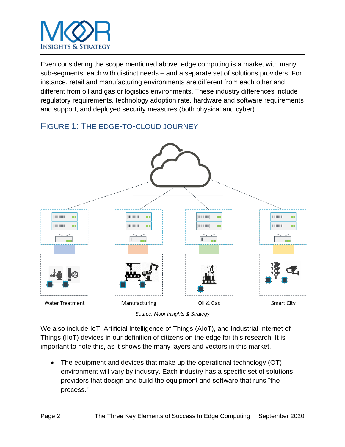

Even considering the scope mentioned above, edge computing is a market with many sub-segments, each with distinct needs – and a separate set of solutions providers. For instance, retail and manufacturing environments are different from each other and different from oil and gas or logistics environments. These industry differences include regulatory requirements, technology adoption rate, hardware and software requirements and support, and deployed security measures (both physical and cyber).

# FIGURE 1: THE EDGE-TO-CLOUD JOURNEY



*Source: Moor Insights & Strategy*

We also include IoT, Artificial Intelligence of Things (AIoT), and Industrial Internet of Things (IIoT) devices in our definition of citizens on the edge for this research. It is important to note this, as it shows the many layers and vectors in this market.

• The equipment and devices that make up the operational technology (OT) environment will vary by industry. Each industry has a specific set of solutions providers that design and build the equipment and software that runs "the process."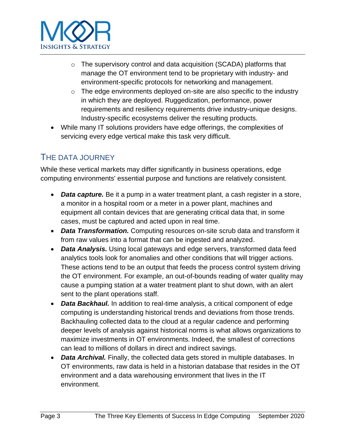

- o The supervisory control and data acquisition (SCADA) platforms that manage the OT environment tend to be proprietary with industry- and environment-specific protocols for networking and management.
- $\circ$  The edge environments deployed on-site are also specific to the industry in which they are deployed. Ruggedization, performance, power requirements and resiliency requirements drive industry-unique designs. Industry-specific ecosystems deliver the resulting products.
- While many IT solutions providers have edge offerings, the complexities of servicing every edge vertical make this task very difficult.

### THE DATA JOURNEY

While these vertical markets may differ significantly in business operations, edge computing environments' essential purpose and functions are relatively consistent.

- *Data capture.* Be it a pump in a water treatment plant, a cash register in a store, a monitor in a hospital room or a meter in a power plant, machines and equipment all contain devices that are generating critical data that, in some cases, must be captured and acted upon in real time.
- *Data Transformation.* Computing resources on-site scrub data and transform it from raw values into a format that can be ingested and analyzed.
- *Data Analysis.* Using local gateways and edge servers, transformed data feed analytics tools look for anomalies and other conditions that will trigger actions. These actions tend to be an output that feeds the process control system driving the OT environment. For example, an out-of-bounds reading of water quality may cause a pumping station at a water treatment plant to shut down, with an alert sent to the plant operations staff.
- **Data Backhaul.** In addition to real-time analysis, a critical component of edge computing is understanding historical trends and deviations from those trends. Backhauling collected data to the cloud at a regular cadence and performing deeper levels of analysis against historical norms is what allows organizations to maximize investments in OT environments. Indeed, the smallest of corrections can lead to millions of dollars in direct and indirect savings.
- *Data Archival.* Finally, the collected data gets stored in multiple databases. In OT environments, raw data is held in a historian database that resides in the OT environment and a data warehousing environment that lives in the IT environment.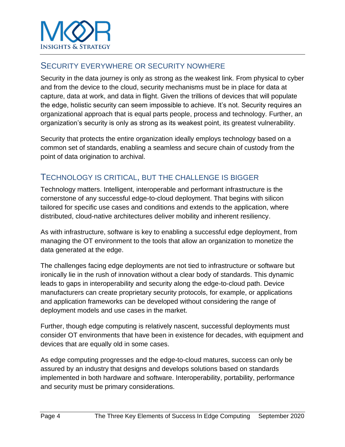

#### SECURITY EVERYWHERE OR SECURITY NOWHERE

Security in the data journey is only as strong as the weakest link. From physical to cyber and from the device to the cloud, security mechanisms must be in place for data at capture, data at work, and data in flight. Given the trillions of devices that will populate the edge, holistic security can seem impossible to achieve. It's not. Security requires an organizational approach that is equal parts people, process and technology. Further, an organization's security is only as strong as its weakest point, its greatest vulnerability.

Security that protects the entire organization ideally employs technology based on a common set of standards, enabling a seamless and secure chain of custody from the point of data origination to archival.

#### TECHNOLOGY IS CRITICAL, BUT THE CHALLENGE IS BIGGER

Technology matters. Intelligent, interoperable and performant infrastructure is the cornerstone of any successful edge-to-cloud deployment. That begins with silicon tailored for specific use cases and conditions and extends to the application, where distributed, cloud-native architectures deliver mobility and inherent resiliency.

As with infrastructure, software is key to enabling a successful edge deployment, from managing the OT environment to the tools that allow an organization to monetize the data generated at the edge.

The challenges facing edge deployments are not tied to infrastructure or software but ironically lie in the rush of innovation without a clear body of standards. This dynamic leads to gaps in interoperability and security along the edge-to-cloud path. Device manufacturers can create proprietary security protocols, for example, or applications and application frameworks can be developed without considering the range of deployment models and use cases in the market.

Further, though edge computing is relatively nascent, successful deployments must consider OT environments that have been in existence for decades, with equipment and devices that are equally old in some cases.

As edge computing progresses and the edge-to-cloud matures, success can only be assured by an industry that designs and develops solutions based on standards implemented in both hardware and software. Interoperability, portability, performance and security must be primary considerations.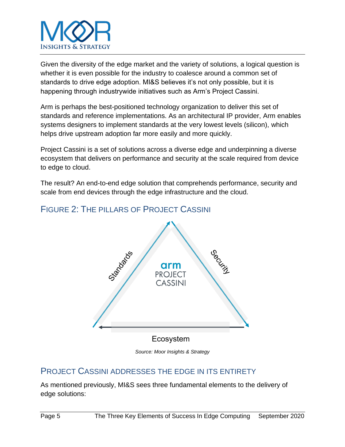

Given the diversity of the edge market and the variety of solutions, a logical question is whether it is even possible for the industry to coalesce around a common set of standards to drive edge adoption. MI&S believes it's not only possible, but it is happening through industrywide initiatives such as Arm's Project Cassini.

Arm is perhaps the best-positioned technology organization to deliver this set of standards and reference implementations. As an architectural IP provider, Arm enables systems designers to implement standards at the very lowest levels (silicon), which helps drive upstream adoption far more easily and more quickly.

Project Cassini is a set of solutions across a diverse edge and underpinning a diverse ecosystem that delivers on performance and security at the scale required from device to edge to cloud.

The result? An end-to-end edge solution that comprehends performance, security and scale from end devices through the edge infrastructure and the cloud.



## FIGURE 2: THE PILLARS OF PROJECT CASSINI

*Source: Moor Insights & Strategy*

#### PROJECT CASSINI ADDRESSES THE EDGE IN ITS ENTIRETY

As mentioned previously, MI&S sees three fundamental elements to the delivery of edge solutions: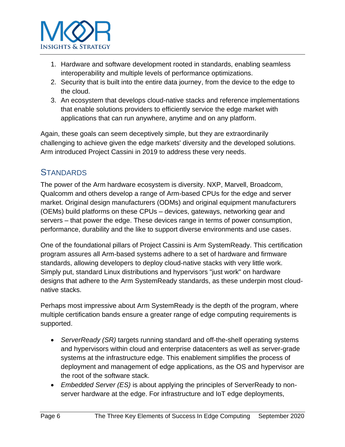

- 1. Hardware and software development rooted in standards, enabling seamless interoperability and multiple levels of performance optimizations.
- 2. Security that is built into the entire data journey, from the device to the edge to the cloud.
- 3. An ecosystem that develops cloud-native stacks and reference implementations that enable solutions providers to efficiently service the edge market with applications that can run anywhere, anytime and on any platform.

Again, these goals can seem deceptively simple, but they are extraordinarily challenging to achieve given the edge markets' diversity and the developed solutions. Arm introduced Project Cassini in 2019 to address these very needs.

### **STANDARDS**

The power of the Arm hardware ecosystem is diversity. NXP, Marvell, Broadcom, Qualcomm and others develop a range of Arm-based CPUs for the edge and server market. Original design manufacturers (ODMs) and original equipment manufacturers (OEMs) build platforms on these CPUs – devices, gateways, networking gear and servers – that power the edge. These devices range in terms of power consumption, performance, durability and the like to support diverse environments and use cases.

One of the foundational pillars of Project Cassini is Arm SystemReady. This certification program assures all Arm-based systems adhere to a set of hardware and firmware standards, allowing developers to deploy cloud-native stacks with very little work. Simply put, standard Linux distributions and hypervisors "just work" on hardware designs that adhere to the Arm SystemReady standards, as these underpin most cloudnative stacks.

Perhaps most impressive about Arm SystemReady is the depth of the program, where multiple certification bands ensure a greater range of edge computing requirements is supported.

- *ServerReady (SR)* targets running standard and off-the-shelf operating systems and hypervisors within cloud and enterprise datacenters as well as server-grade systems at the infrastructure edge. This enablement simplifies the process of deployment and management of edge applications, as the OS and hypervisor are the root of the software stack.
- *Embedded Server (ES)* is about applying the principles of ServerReady to nonserver hardware at the edge. For infrastructure and IoT edge deployments,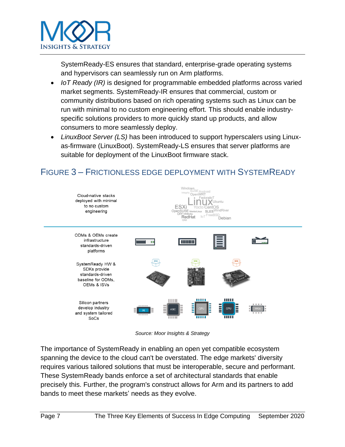

SystemReady-ES ensures that standard, enterprise-grade operating systems and hypervisors can seamlessly run on Arm platforms.

- *IoT Ready (IR)* is designed for programmable embedded platforms across varied market segments. SystemReady-IR ensures that commercial, custom or community distributions based on rich operating systems such as Linux can be run with minimal to no custom engineering effort. This should enable industryspecific solutions providers to more quickly stand up products, and allow consumers to more seamlessly deploy.
- *LinuxBoot Server (LS)* has been introduced to support hyperscalers using Linuxas-firmware (LinuxBoot). SystemReady-LS ensures that server platforms are suitable for deployment of the LinuxBoot firmware stack.

## FIGURE 3 – FRICTIONLESS EDGE DEPLOYMENT WITH SYSTEMREADY



*Source: Moor Insights & Strategy*

The importance of SystemReady in enabling an open yet compatible ecosystem spanning the device to the cloud can't be overstated. The edge markets' diversity requires various tailored solutions that must be interoperable, secure and performant. These SystemReady bands enforce a set of architectural standards that enable precisely this. Further, the program's construct allows for Arm and its partners to add bands to meet these markets' needs as they evolve.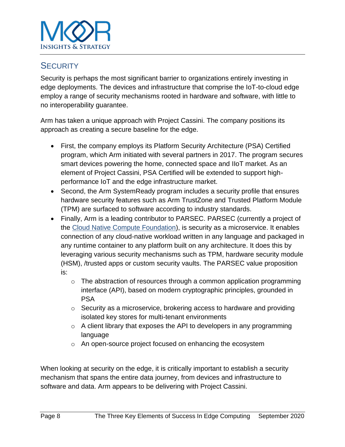

### **SECURITY**

Security is perhaps the most significant barrier to organizations entirely investing in edge deployments. The devices and infrastructure that comprise the IoT-to-cloud edge employ a range of security mechanisms rooted in hardware and software, with little to no interoperability guarantee.

Arm has taken a unique approach with Project Cassini. The company positions its approach as creating a secure baseline for the edge.

- First, the company employs its Platform Security Architecture (PSA) Certified program, which Arm initiated with several partners in 2017. The program secures smart devices powering the home, connected space and IIoT market. As an element of Project Cassini, PSA Certified will be extended to support highperformance IoT and the edge infrastructure market.
- Second, the Arm SystemReady program includes a security profile that ensures hardware security features such as Arm TrustZone and Trusted Platform Module (TPM) are surfaced to software according to industry standards.
- Finally, Arm is a leading contributor to PARSEC. PARSEC (currently a project of the [Cloud Native Compute Foundation\)](https://www.cncf.io/), is security as a microservice. It enables connection of any cloud-native workload written in any language and packaged in any runtime container to any platform built on any architecture. It does this by leveraging various security mechanisms such as TPM, hardware security module (HSM), /trusted apps or custom security vaults. The PARSEC value proposition is:
	- $\circ$  The abstraction of resources through a common application programming interface (API), based on modern cryptographic principles, grounded in PSA
	- $\circ$  Security as a microservice, brokering access to hardware and providing isolated key stores for multi-tenant environments
	- $\circ$  A client library that exposes the API to developers in any programming language
	- o An open-source project focused on enhancing the ecosystem

When looking at security on the edge, it is critically important to establish a security mechanism that spans the entire data journey, from devices and infrastructure to software and data. Arm appears to be delivering with Project Cassini.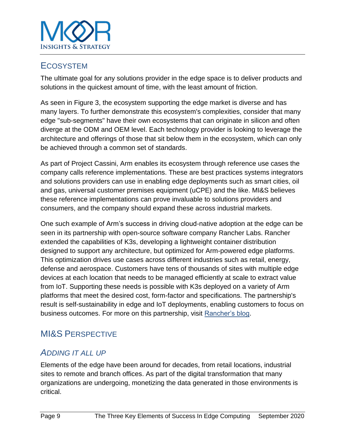

### **ECOSYSTEM**

The ultimate goal for any solutions provider in the edge space is to deliver products and solutions in the quickest amount of time, with the least amount of friction.

As seen in Figure 3, the ecosystem supporting the edge market is diverse and has many layers. To further demonstrate this ecosystem's complexities, consider that many edge "sub-segments" have their own ecosystems that can originate in silicon and often diverge at the ODM and OEM level. Each technology provider is looking to leverage the architecture and offerings of those that sit below them in the ecosystem, which can only be achieved through a common set of standards.

As part of Project Cassini, Arm enables its ecosystem through reference use cases the company calls reference implementations. These are best practices systems integrators and solutions providers can use in enabling edge deployments such as smart cities, oil and gas, universal customer premises equipment (uCPE) and the like. MI&S believes these reference implementations can prove invaluable to solutions providers and consumers, and the company should expand these across industrial markets.

One such example of Arm's success in driving cloud-native adoption at the edge can be seen in its partnership with open-source software company Rancher Labs. Rancher extended the capabilities of K3s, developing a lightweight container distribution designed to support any architecture, but optimized for Arm-powered edge platforms. This optimization drives use cases across different industries such as retail, energy, defense and aerospace. Customers have tens of thousands of sites with multiple edge devices at each location that needs to be managed efficiently at scale to extract value from IoT. Supporting these needs is possible with K3s deployed on a variety of Arm platforms that meet the desired cost, form-factor and specifications. The partnership's result is self-sustainability in edge and IoT deployments, enabling customers to focus on business outcomes. For more on this partnership, visit [Rancher's blog.](https://rancher.com/blog/2019/rancher-and-arm-partner-to-accelerate-edge-computing/)

## MI&S PERSPECTIVE

### *ADDING IT ALL UP*

Elements of the edge have been around for decades, from retail locations, industrial sites to remote and branch offices. As part of the digital transformation that many organizations are undergoing, monetizing the data generated in those environments is critical.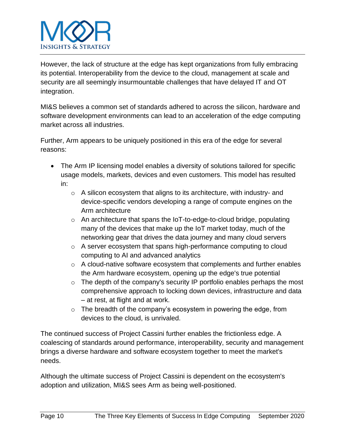

However, the lack of structure at the edge has kept organizations from fully embracing its potential. Interoperability from the device to the cloud, management at scale and security are all seemingly insurmountable challenges that have delayed IT and OT integration.

MI&S believes a common set of standards adhered to across the silicon, hardware and software development environments can lead to an acceleration of the edge computing market across all industries.

Further, Arm appears to be uniquely positioned in this era of the edge for several reasons:

- The Arm IP licensing model enables a diversity of solutions tailored for specific usage models, markets, devices and even customers. This model has resulted in:
	- o A silicon ecosystem that aligns to its architecture, with industry- and device-specific vendors developing a range of compute engines on the Arm architecture
	- o An architecture that spans the IoT-to-edge-to-cloud bridge, populating many of the devices that make up the IoT market today, much of the networking gear that drives the data journey and many cloud servers
	- o A server ecosystem that spans high-performance computing to cloud computing to AI and advanced analytics
	- o A cloud-native software ecosystem that complements and further enables the Arm hardware ecosystem, opening up the edge's true potential
	- o The depth of the company's security IP portfolio enables perhaps the most comprehensive approach to locking down devices, infrastructure and data – at rest, at flight and at work.
	- $\circ$  The breadth of the company's ecosystem in powering the edge, from devices to the cloud, is unrivaled.

The continued success of Project Cassini further enables the frictionless edge. A coalescing of standards around performance, interoperability, security and management brings a diverse hardware and software ecosystem together to meet the market's needs.

Although the ultimate success of Project Cassini is dependent on the ecosystem's adoption and utilization, MI&S sees Arm as being well-positioned.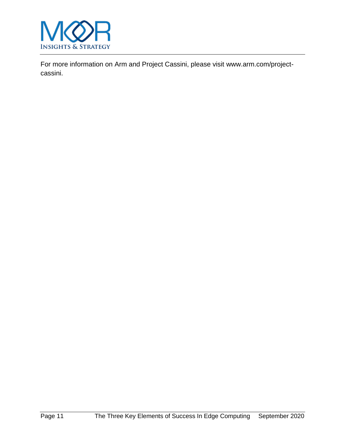

For more information on Arm and Project Cassini, please visit [www.arm.com/project](https://www.arm.com/project-cassini)[cassini.](https://www.arm.com/project-cassini)